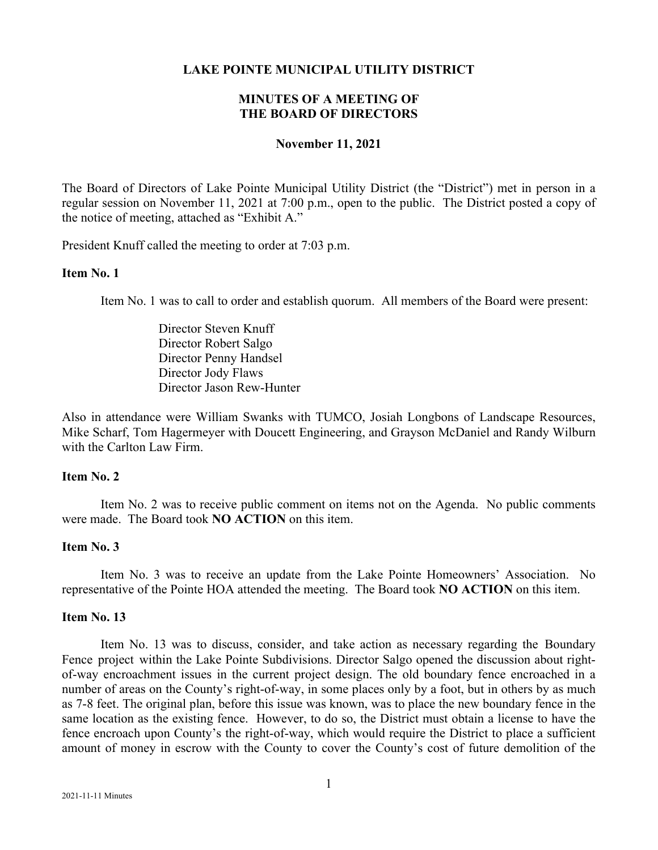### **LAKE POINTE MUNICIPAL UTILITY DISTRICT**

# **MINUTES OF A MEETING OF THE BOARD OF DIRECTORS**

#### **November 11, 2021**

The Board of Directors of Lake Pointe Municipal Utility District (the "District") met in person in a regular session on November 11, 2021 at 7:00 p.m., open to the public. The District posted a copy of the notice of meeting, attached as "Exhibit A."

President Knuff called the meeting to order at 7:03 p.m.

#### **Item No. 1**

Item No. 1 was to call to order and establish quorum. All members of the Board were present:

Director Steven Knuff Director Robert Salgo Director Penny Handsel Director Jody Flaws Director Jason Rew-Hunter

Also in attendance were William Swanks with TUMCO, Josiah Longbons of Landscape Resources, Mike Scharf, Tom Hagermeyer with Doucett Engineering, and Grayson McDaniel and Randy Wilburn with the Carlton Law Firm.

## **Item No. 2**

Item No. 2 was to receive public comment on items not on the Agenda. No public comments were made. The Board took **NO ACTION** on this item.

# **Item No. 3**

Item No. 3 was to receive an update from the Lake Pointe Homeowners' Association. No representative of the Pointe HOA attended the meeting. The Board took **NO ACTION** on this item.

## **Item No. 13**

Item No. 13 was to discuss, consider, and take action as necessary regarding the Boundary Fence project within the Lake Pointe Subdivisions. Director Salgo opened the discussion about rightof-way encroachment issues in the current project design. The old boundary fence encroached in a number of areas on the County's right-of-way, in some places only by a foot, but in others by as much as 7-8 feet. The original plan, before this issue was known, was to place the new boundary fence in the same location as the existing fence. However, to do so, the District must obtain a license to have the fence encroach upon County's the right-of-way, which would require the District to place a sufficient amount of money in escrow with the County to cover the County's cost of future demolition of the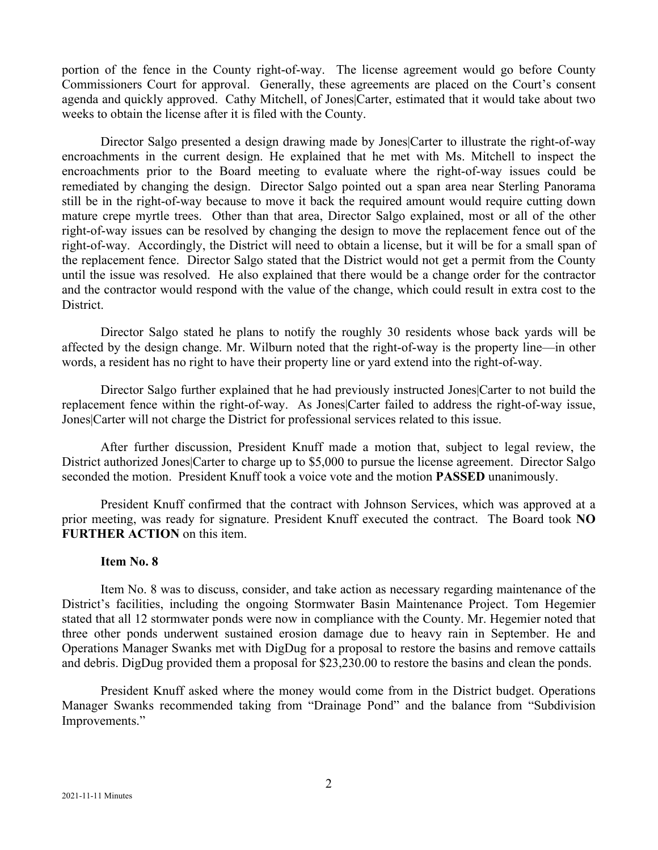portion of the fence in the County right-of-way. The license agreement would go before County Commissioners Court for approval. Generally, these agreements are placed on the Court's consent agenda and quickly approved. Cathy Mitchell, of Jones|Carter, estimated that it would take about two weeks to obtain the license after it is filed with the County.

Director Salgo presented a design drawing made by Jones|Carter to illustrate the right-of-way encroachments in the current design. He explained that he met with Ms. Mitchell to inspect the encroachments prior to the Board meeting to evaluate where the right-of-way issues could be remediated by changing the design. Director Salgo pointed out a span area near Sterling Panorama still be in the right-of-way because to move it back the required amount would require cutting down mature crepe myrtle trees. Other than that area, Director Salgo explained, most or all of the other right-of-way issues can be resolved by changing the design to move the replacement fence out of the right-of-way. Accordingly, the District will need to obtain a license, but it will be for a small span of the replacement fence. Director Salgo stated that the District would not get a permit from the County until the issue was resolved. He also explained that there would be a change order for the contractor and the contractor would respond with the value of the change, which could result in extra cost to the District.

Director Salgo stated he plans to notify the roughly 30 residents whose back yards will be affected by the design change. Mr. Wilburn noted that the right-of-way is the property line—in other words, a resident has no right to have their property line or yard extend into the right-of-way.

Director Salgo further explained that he had previously instructed Jones|Carter to not build the replacement fence within the right-of-way. As Jones|Carter failed to address the right-of-way issue, Jones|Carter will not charge the District for professional services related to this issue.

After further discussion, President Knuff made a motion that, subject to legal review, the District authorized Jones|Carter to charge up to \$5,000 to pursue the license agreement. Director Salgo seconded the motion. President Knuff took a voice vote and the motion **PASSED** unanimously.

President Knuff confirmed that the contract with Johnson Services, which was approved at a prior meeting, was ready for signature. President Knuff executed the contract. The Board took **NO FURTHER ACTION** on this item.

## **Item No. 8**

Item No. 8 was to discuss, consider, and take action as necessary regarding maintenance of the District's facilities, including the ongoing Stormwater Basin Maintenance Project. Tom Hegemier stated that all 12 stormwater ponds were now in compliance with the County. Mr. Hegemier noted that three other ponds underwent sustained erosion damage due to heavy rain in September. He and Operations Manager Swanks met with DigDug for a proposal to restore the basins and remove cattails and debris. DigDug provided them a proposal for \$23,230.00 to restore the basins and clean the ponds.

President Knuff asked where the money would come from in the District budget. Operations Manager Swanks recommended taking from "Drainage Pond" and the balance from "Subdivision Improvements."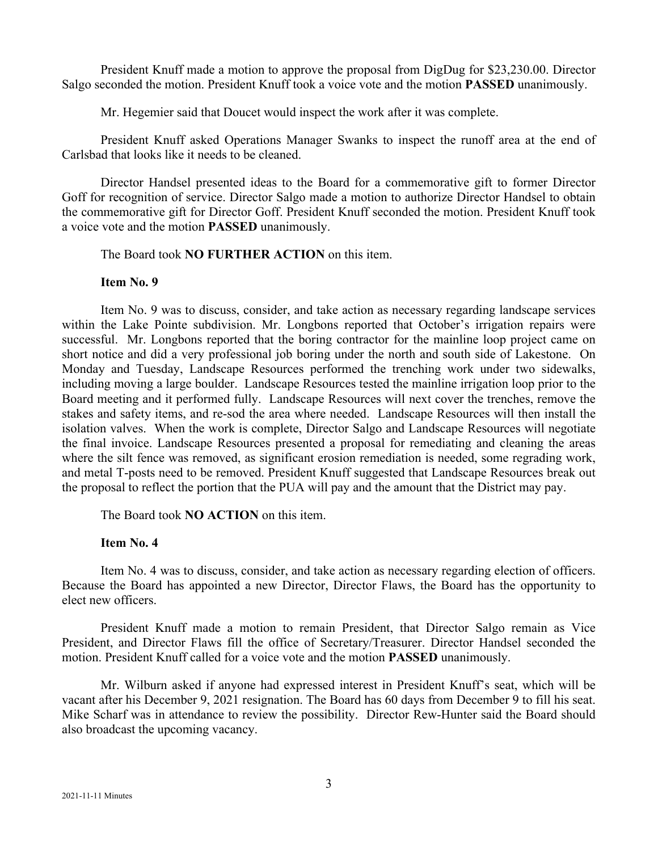President Knuff made a motion to approve the proposal from DigDug for \$23,230.00. Director Salgo seconded the motion. President Knuff took a voice vote and the motion **PASSED** unanimously.

Mr. Hegemier said that Doucet would inspect the work after it was complete.

President Knuff asked Operations Manager Swanks to inspect the runoff area at the end of Carlsbad that looks like it needs to be cleaned.

Director Handsel presented ideas to the Board for a commemorative gift to former Director Goff for recognition of service. Director Salgo made a motion to authorize Director Handsel to obtain the commemorative gift for Director Goff. President Knuff seconded the motion. President Knuff took a voice vote and the motion **PASSED** unanimously.

The Board took **NO FURTHER ACTION** on this item.

#### **Item No. 9**

Item No. 9 was to discuss, consider, and take action as necessary regarding landscape services within the Lake Pointe subdivision. Mr. Longbons reported that October's irrigation repairs were successful. Mr. Longbons reported that the boring contractor for the mainline loop project came on short notice and did a very professional job boring under the north and south side of Lakestone. On Monday and Tuesday, Landscape Resources performed the trenching work under two sidewalks, including moving a large boulder. Landscape Resources tested the mainline irrigation loop prior to the Board meeting and it performed fully. Landscape Resources will next cover the trenches, remove the stakes and safety items, and re-sod the area where needed. Landscape Resources will then install the isolation valves. When the work is complete, Director Salgo and Landscape Resources will negotiate the final invoice. Landscape Resources presented a proposal for remediating and cleaning the areas where the silt fence was removed, as significant erosion remediation is needed, some regrading work, and metal T-posts need to be removed. President Knuff suggested that Landscape Resources break out the proposal to reflect the portion that the PUA will pay and the amount that the District may pay.

The Board took **NO ACTION** on this item.

# **Item No. 4**

Item No. 4 was to discuss, consider, and take action as necessary regarding election of officers. Because the Board has appointed a new Director, Director Flaws, the Board has the opportunity to elect new officers.

President Knuff made a motion to remain President, that Director Salgo remain as Vice President, and Director Flaws fill the office of Secretary/Treasurer. Director Handsel seconded the motion. President Knuff called for a voice vote and the motion **PASSED** unanimously.

Mr. Wilburn asked if anyone had expressed interest in President Knuff's seat, which will be vacant after his December 9, 2021 resignation. The Board has 60 days from December 9 to fill his seat. Mike Scharf was in attendance to review the possibility. Director Rew-Hunter said the Board should also broadcast the upcoming vacancy.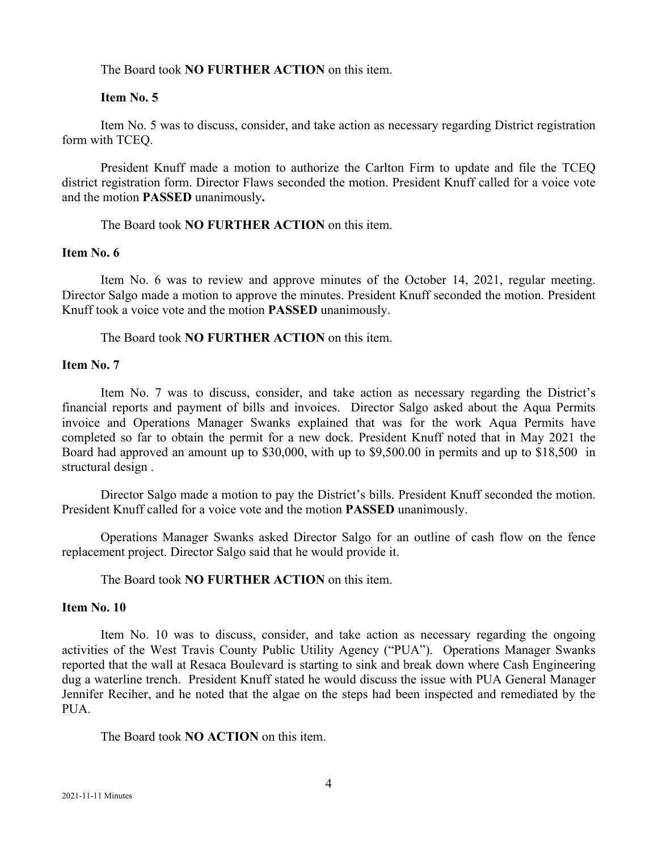The Board took **NO FURTHER ACTION** on this item.

### **Item No. 5**

Item No. 5 was to discuss, consider, and take action as necessary regarding District registration form with TCEQ.

President Knuff made a motion to authorize the Carlton Firm to update and file the TCEQ district registration form. Director Flaws seconded the motion. President Knuff called for a voice vote and the motion **PASSED** unanimously**.**

The Board took **NO FURTHER ACTION** on this item.

#### **Item No. 6**

Item No. 6 was to review and approve minutes of the October 14, 2021, regular meeting. Director Salgo made a motion to approve the minutes. President Knuff seconded the motion. President Knuff took a voice vote and the motion **PASSED** unanimously.

The Board took **NO FURTHER ACTION** on this item.

#### **Item No. 7**

Item No. 7 was to discuss, consider, and take action as necessary regarding the District's financial reports and payment of bills and invoices. Director Salgo asked about the Aqua Permits invoice and Operations Manager Swanks explained that was for the work Aqua Permits have completed so far to obtain the permit for a new dock. President Knuff noted that in May 2021 the Board had approved an amount up to \$30,000, with up to \$9,500.00 in permits and up to \$18,500 in structural design .

Director Salgo made a motion to pay the District's bills. President Knuff seconded the motion. President Knuff called for a voice vote and the motion **PASSED** unanimously.

Operations Manager Swanks asked Director Salgo for an outline of cash flow on the fence replacement project. Director Salgo said that he would provide it.

## The Board took **NO FURTHER ACTION** on this item.

#### **Item No. 10**

Item No. 10 was to discuss, consider, and take action as necessary regarding the ongoing activities of the West Travis County Public Utility Agency ("PUA"). Operations Manager Swanks reported that the wall at Resaca Boulevard is starting to sink and break down where Cash Engineering dug a waterline trench. President Knuff stated he would discuss the issue with PUA General Manager Jennifer Reciher, and he noted that the algae on the steps had been inspected and remediated by the PUA.

The Board took **NO ACTION** on this item.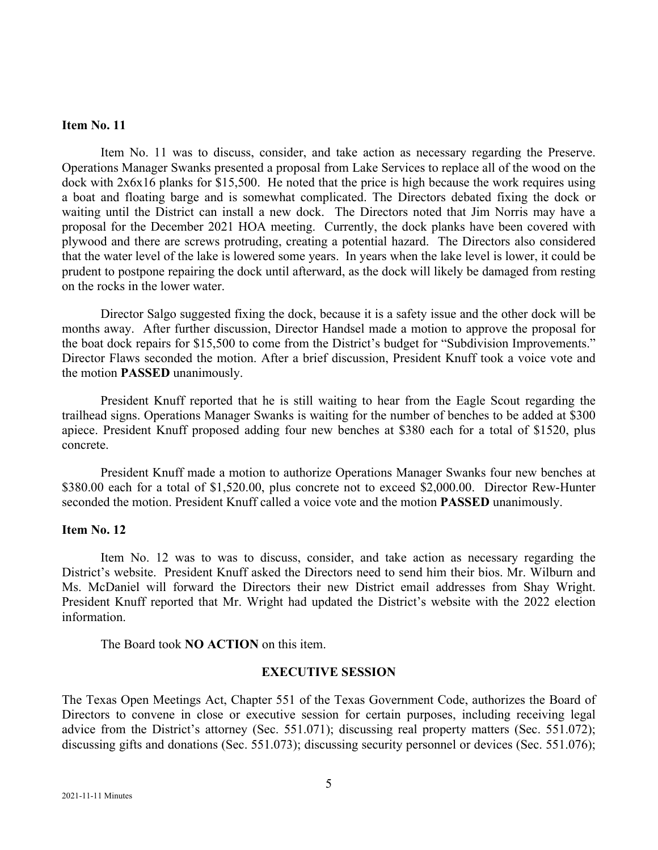#### **Item No. 11**

Item No. 11 was to discuss, consider, and take action as necessary regarding the Preserve. Operations Manager Swanks presented a proposal from Lake Services to replace all of the wood on the dock with 2x6x16 planks for \$15,500. He noted that the price is high because the work requires using a boat and floating barge and is somewhat complicated. The Directors debated fixing the dock or waiting until the District can install a new dock. The Directors noted that Jim Norris may have a proposal for the December 2021 HOA meeting. Currently, the dock planks have been covered with plywood and there are screws protruding, creating a potential hazard. The Directors also considered that the water level of the lake is lowered some years. In years when the lake level is lower, it could be prudent to postpone repairing the dock until afterward, as the dock will likely be damaged from resting on the rocks in the lower water.

Director Salgo suggested fixing the dock, because it is a safety issue and the other dock will be months away. After further discussion, Director Handsel made a motion to approve the proposal for the boat dock repairs for \$15,500 to come from the District's budget for "Subdivision Improvements." Director Flaws seconded the motion. After a brief discussion, President Knuff took a voice vote and the motion **PASSED** unanimously.

President Knuff reported that he is still waiting to hear from the Eagle Scout regarding the trailhead signs. Operations Manager Swanks is waiting for the number of benches to be added at \$300 apiece. President Knuff proposed adding four new benches at \$380 each for a total of \$1520, plus concrete.

President Knuff made a motion to authorize Operations Manager Swanks four new benches at \$380.00 each for a total of \$1,520.00, plus concrete not to exceed \$2,000.00. Director Rew-Hunter seconded the motion. President Knuff called a voice vote and the motion **PASSED** unanimously.

### **Item No. 12**

Item No. 12 was to was to discuss, consider, and take action as necessary regarding the District's website. President Knuff asked the Directors need to send him their bios. Mr. Wilburn and Ms. McDaniel will forward the Directors their new District email addresses from Shay Wright. President Knuff reported that Mr. Wright had updated the District's website with the 2022 election information.

The Board took **NO ACTION** on this item.

#### **EXECUTIVE SESSION**

The Texas Open Meetings Act, Chapter 551 of the Texas Government Code, authorizes the Board of Directors to convene in close or executive session for certain purposes, including receiving legal advice from the District's attorney (Sec. 551.071); discussing real property matters (Sec. 551.072); discussing gifts and donations (Sec. 551.073); discussing security personnel or devices (Sec. 551.076);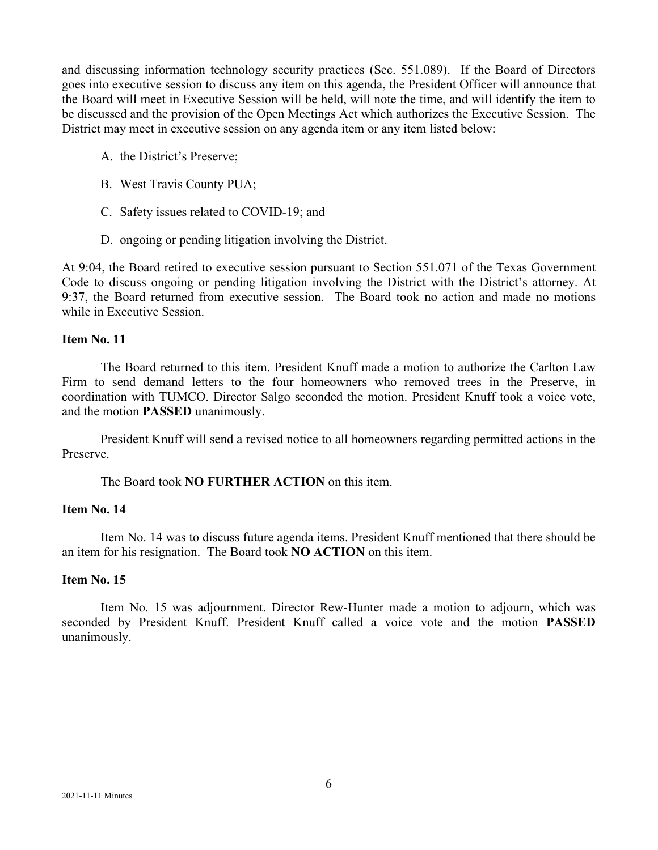and discussing information technology security practices (Sec. 551.089). If the Board of Directors goes into executive session to discuss any item on this agenda, the President Officer will announce that the Board will meet in Executive Session will be held, will note the time, and will identify the item to be discussed and the provision of the Open Meetings Act which authorizes the Executive Session. The District may meet in executive session on any agenda item or any item listed below:

- A. the District's Preserve;
- B. West Travis County PUA;
- C. Safety issues related to COVID-19; and
- D. ongoing or pending litigation involving the District.

At 9:04, the Board retired to executive session pursuant to Section 551.071 of the Texas Government Code to discuss ongoing or pending litigation involving the District with the District's attorney. At 9:37, the Board returned from executive session. The Board took no action and made no motions while in Executive Session.

# **Item No. 11**

The Board returned to this item. President Knuff made a motion to authorize the Carlton Law Firm to send demand letters to the four homeowners who removed trees in the Preserve, in coordination with TUMCO. Director Salgo seconded the motion. President Knuff took a voice vote, and the motion **PASSED** unanimously.

President Knuff will send a revised notice to all homeowners regarding permitted actions in the Preserve.

The Board took **NO FURTHER ACTION** on this item.

# **Item No. 14**

Item No. 14 was to discuss future agenda items. President Knuff mentioned that there should be an item for his resignation. The Board took **NO ACTION** on this item.

# **Item No. 15**

Item No. 15 was adjournment. Director Rew-Hunter made a motion to adjourn, which was seconded by President Knuff. President Knuff called a voice vote and the motion **PASSED** unanimously.